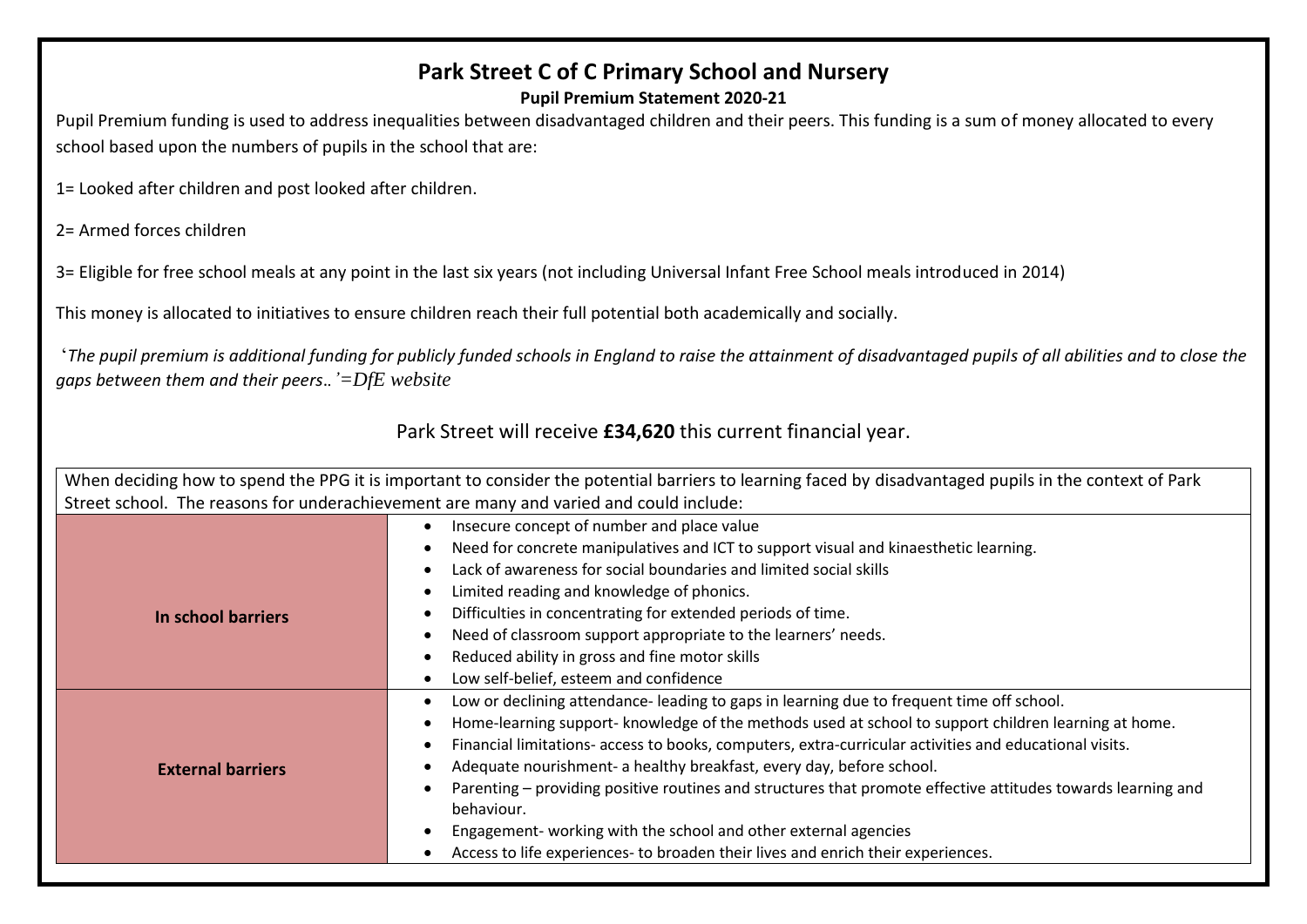# **Park Street C of C Primary School and Nursery**

## **Pupil Premium Statement 2020-21**

Pupil Premium funding is used to address inequalities between disadvantaged children and their peers. This funding is a sum of money allocated to every school based upon the numbers of pupils in the school that are:

1= Looked after children and post looked after children.

2= Armed forces children

3= Eligible for free school meals at any point in the last six years (not including Universal Infant Free School meals introduced in 2014)

This money is allocated to initiatives to ensure children reach their full potential both academically and socially.

'*The pupil premium is additional funding for publicly funded schools in England to raise the attainment of disadvantaged pupils of all abilities and to close the gaps between them and their peers*.*.'=DfE website*

# Park Street will receive **£34,620** this current financial year.

|                                                                                        | When deciding how to spend the PPG it is important to consider the potential barriers to learning faced by disadvantaged pupils in the context of Park |  |  |  |  |
|----------------------------------------------------------------------------------------|--------------------------------------------------------------------------------------------------------------------------------------------------------|--|--|--|--|
| Street school. The reasons for underachievement are many and varied and could include: |                                                                                                                                                        |  |  |  |  |
| Insecure concept of number and place value                                             |                                                                                                                                                        |  |  |  |  |
|                                                                                        | Need for concrete manipulatives and ICT to support visual and kinaesthetic learning.                                                                   |  |  |  |  |
|                                                                                        | Lack of awareness for social boundaries and limited social skills                                                                                      |  |  |  |  |
|                                                                                        | Limited reading and knowledge of phonics.                                                                                                              |  |  |  |  |
| In school barriers                                                                     | Difficulties in concentrating for extended periods of time.                                                                                            |  |  |  |  |
|                                                                                        | Need of classroom support appropriate to the learners' needs.                                                                                          |  |  |  |  |
|                                                                                        | Reduced ability in gross and fine motor skills                                                                                                         |  |  |  |  |
|                                                                                        | Low self-belief, esteem and confidence                                                                                                                 |  |  |  |  |
|                                                                                        | Low or declining attendance-leading to gaps in learning due to frequent time off school.                                                               |  |  |  |  |
|                                                                                        | Home-learning support- knowledge of the methods used at school to support children learning at home.                                                   |  |  |  |  |
|                                                                                        | Financial limitations- access to books, computers, extra-curricular activities and educational visits.                                                 |  |  |  |  |
| <b>External barriers</b>                                                               | Adequate nourishment- a healthy breakfast, every day, before school.                                                                                   |  |  |  |  |
|                                                                                        | Parenting – providing positive routines and structures that promote effective attitudes towards learning and                                           |  |  |  |  |
|                                                                                        | behaviour.                                                                                                                                             |  |  |  |  |
|                                                                                        | Engagement- working with the school and other external agencies                                                                                        |  |  |  |  |
|                                                                                        | Access to life experiences- to broaden their lives and enrich their experiences.                                                                       |  |  |  |  |
|                                                                                        |                                                                                                                                                        |  |  |  |  |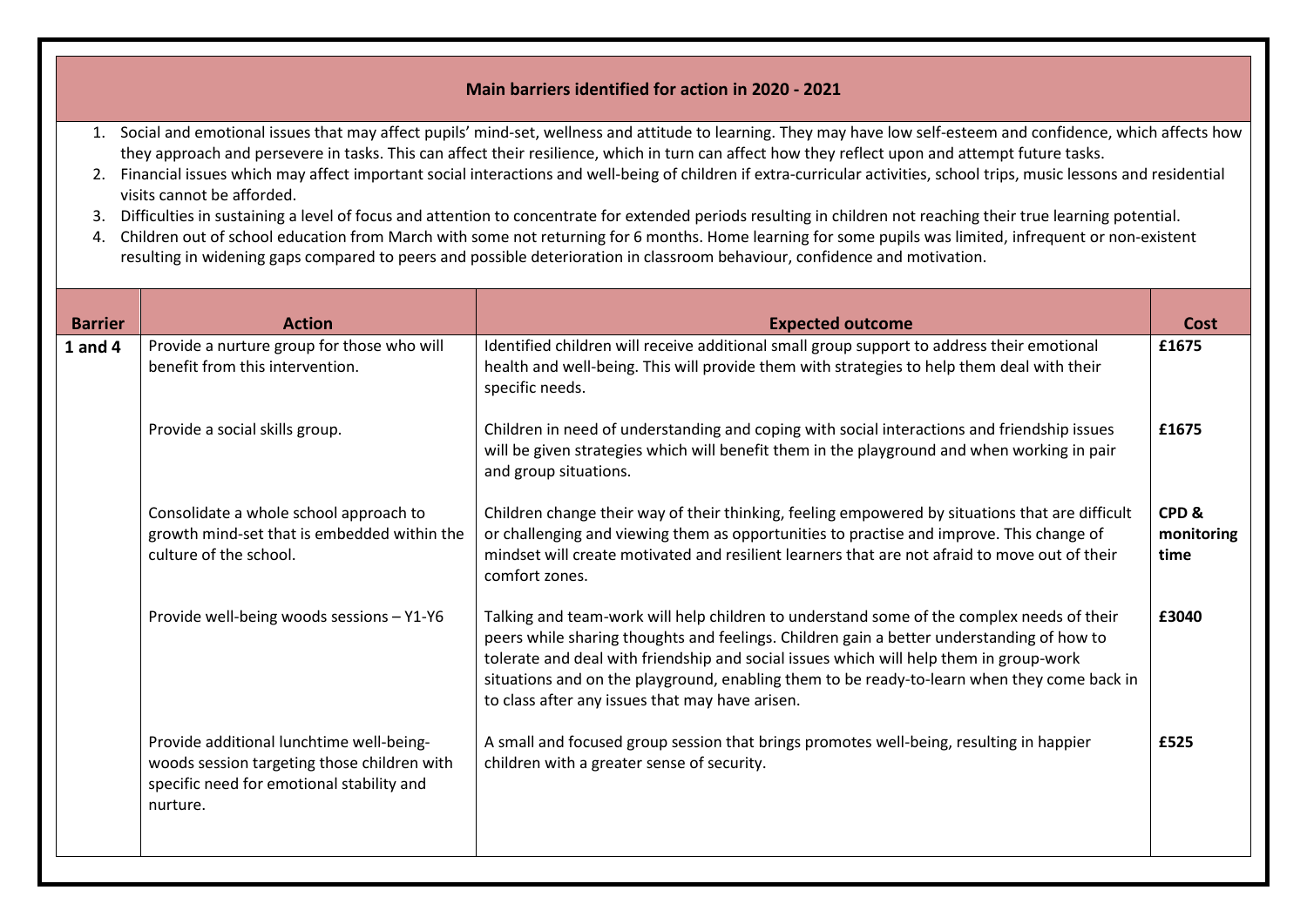### **Main barriers identified for action in 2020 - 2021**

- 1. Social and emotional issues that may affect pupils' mind-set, wellness and attitude to learning. They may have low self-esteem and confidence, which affects how they approach and persevere in tasks. This can affect their resilience, which in turn can affect how they reflect upon and attempt future tasks.
- 2. Financial issues which may affect important social interactions and well-being of children if extra-curricular activities, school trips, music lessons and residential visits cannot be afforded.
- 3. Difficulties in sustaining a level of focus and attention to concentrate for extended periods resulting in children not reaching their true learning potential.
- 4. Children out of school education from March with some not returning for 6 months. Home learning for some pupils was limited, infrequent or non-existent resulting in widening gaps compared to peers and possible deterioration in classroom behaviour, confidence and motivation.

| <b>Barrier</b> | <b>Action</b>                                                                                                                                    | <b>Expected outcome</b>                                                                                                                                                                                                                                                                                                                                                                                                            | Cost                                       |
|----------------|--------------------------------------------------------------------------------------------------------------------------------------------------|------------------------------------------------------------------------------------------------------------------------------------------------------------------------------------------------------------------------------------------------------------------------------------------------------------------------------------------------------------------------------------------------------------------------------------|--------------------------------------------|
| $1$ and $4$    | Provide a nurture group for those who will<br>benefit from this intervention.                                                                    | Identified children will receive additional small group support to address their emotional<br>health and well-being. This will provide them with strategies to help them deal with their<br>specific needs.                                                                                                                                                                                                                        | £1675                                      |
|                | Provide a social skills group.                                                                                                                   | Children in need of understanding and coping with social interactions and friendship issues<br>will be given strategies which will benefit them in the playground and when working in pair<br>and group situations.                                                                                                                                                                                                                | £1675                                      |
|                | Consolidate a whole school approach to<br>growth mind-set that is embedded within the<br>culture of the school.                                  | Children change their way of their thinking, feeling empowered by situations that are difficult<br>or challenging and viewing them as opportunities to practise and improve. This change of<br>mindset will create motivated and resilient learners that are not afraid to move out of their<br>comfort zones.                                                                                                                     | CPD <sub>&amp;</sub><br>monitoring<br>time |
|                | Provide well-being woods sessions - Y1-Y6                                                                                                        | Talking and team-work will help children to understand some of the complex needs of their<br>peers while sharing thoughts and feelings. Children gain a better understanding of how to<br>tolerate and deal with friendship and social issues which will help them in group-work<br>situations and on the playground, enabling them to be ready-to-learn when they come back in<br>to class after any issues that may have arisen. | £3040                                      |
|                | Provide additional lunchtime well-being-<br>woods session targeting those children with<br>specific need for emotional stability and<br>nurture. | A small and focused group session that brings promotes well-being, resulting in happier<br>children with a greater sense of security.                                                                                                                                                                                                                                                                                              | £525                                       |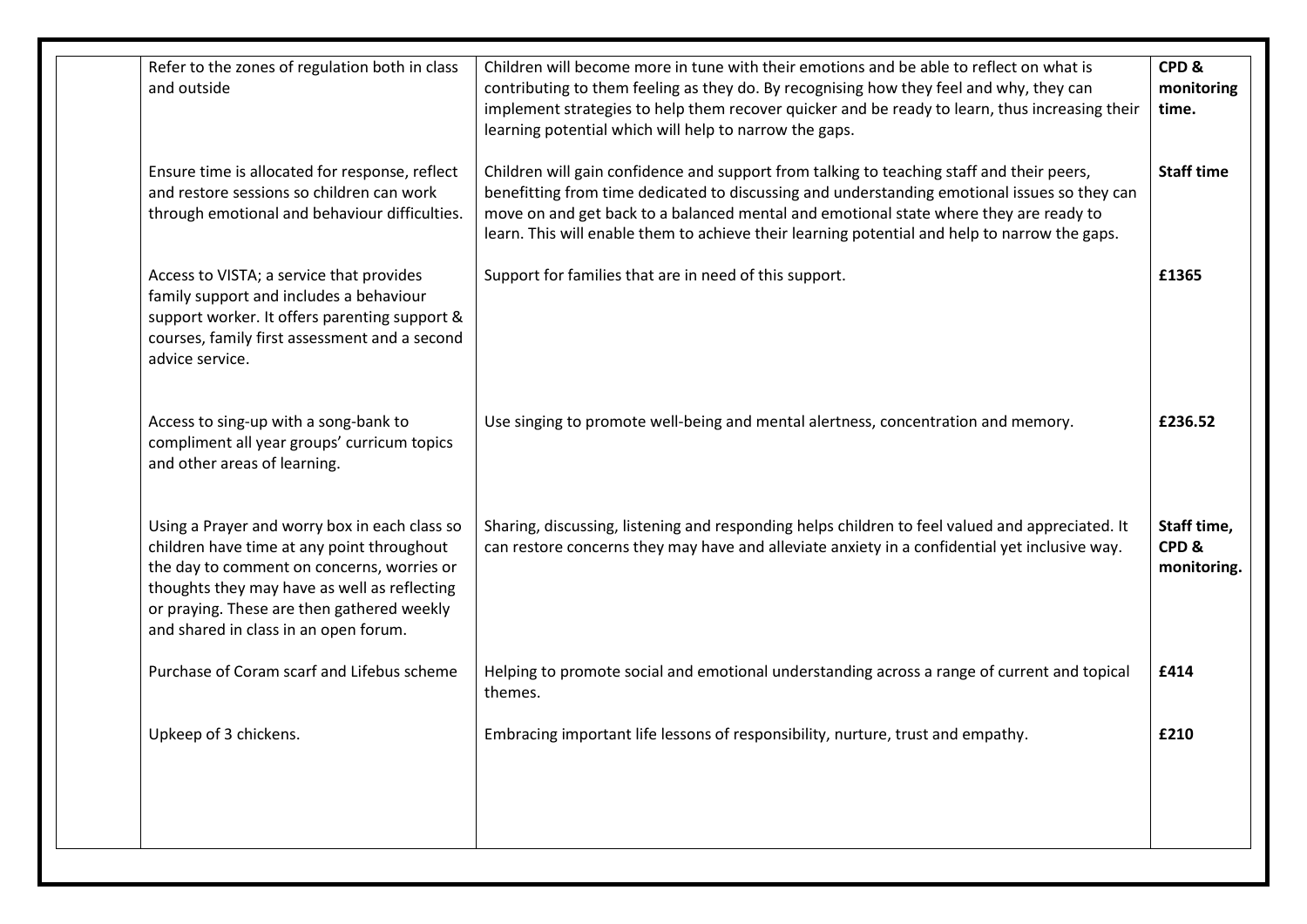| Refer to the zones of regulation both in class<br>and outside                                                                                                                                                                                                                    | Children will become more in tune with their emotions and be able to reflect on what is<br>contributing to them feeling as they do. By recognising how they feel and why, they can<br>implement strategies to help them recover quicker and be ready to learn, thus increasing their<br>learning potential which will help to narrow the gaps.                                      |                                    |
|----------------------------------------------------------------------------------------------------------------------------------------------------------------------------------------------------------------------------------------------------------------------------------|-------------------------------------------------------------------------------------------------------------------------------------------------------------------------------------------------------------------------------------------------------------------------------------------------------------------------------------------------------------------------------------|------------------------------------|
| Ensure time is allocated for response, reflect<br>and restore sessions so children can work<br>through emotional and behaviour difficulties.                                                                                                                                     | Children will gain confidence and support from talking to teaching staff and their peers,<br>benefitting from time dedicated to discussing and understanding emotional issues so they can<br>move on and get back to a balanced mental and emotional state where they are ready to<br>learn. This will enable them to achieve their learning potential and help to narrow the gaps. | <b>Staff time</b>                  |
| Access to VISTA; a service that provides<br>family support and includes a behaviour<br>support worker. It offers parenting support &<br>courses, family first assessment and a second<br>advice service.                                                                         | Support for families that are in need of this support.                                                                                                                                                                                                                                                                                                                              | £1365                              |
| Access to sing-up with a song-bank to<br>compliment all year groups' curricum topics<br>and other areas of learning.                                                                                                                                                             | Use singing to promote well-being and mental alertness, concentration and memory.                                                                                                                                                                                                                                                                                                   | £236.52                            |
| Using a Prayer and worry box in each class so<br>children have time at any point throughout<br>the day to comment on concerns, worries or<br>thoughts they may have as well as reflecting<br>or praying. These are then gathered weekly<br>and shared in class in an open forum. | Sharing, discussing, listening and responding helps children to feel valued and appreciated. It<br>can restore concerns they may have and alleviate anxiety in a confidential yet inclusive way.                                                                                                                                                                                    | Staff time,<br>CPD&<br>monitoring. |
| Purchase of Coram scarf and Lifebus scheme                                                                                                                                                                                                                                       | Helping to promote social and emotional understanding across a range of current and topical<br>themes.                                                                                                                                                                                                                                                                              | £414                               |
| Upkeep of 3 chickens.                                                                                                                                                                                                                                                            | Embracing important life lessons of responsibility, nurture, trust and empathy.                                                                                                                                                                                                                                                                                                     | £210                               |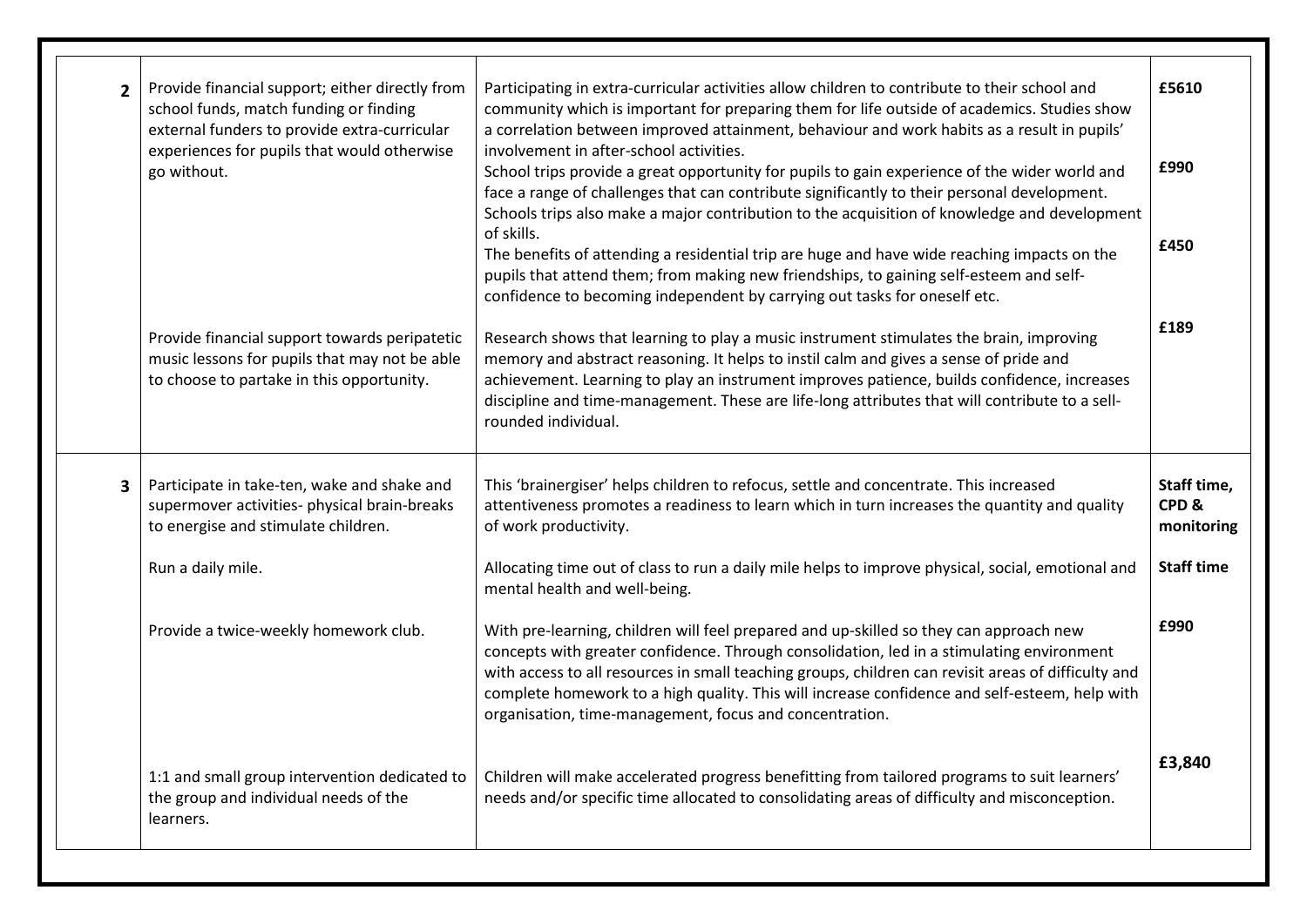| $\overline{2}$                                                                                                                          | Provide financial support; either directly from<br>Participating in extra-curricular activities allow children to contribute to their school and<br>school funds, match funding or finding<br>community which is important for preparing them for life outside of academics. Studies show<br>external funders to provide extra-curricular<br>a correlation between improved attainment, behaviour and work habits as a result in pupils'<br>experiences for pupils that would otherwise<br>involvement in after-school activities.<br>go without.<br>School trips provide a great opportunity for pupils to gain experience of the wider world and<br>face a range of challenges that can contribute significantly to their personal development.<br>Schools trips also make a major contribution to the acquisition of knowledge and development<br>of skills.<br>The benefits of attending a residential trip are huge and have wide reaching impacts on the<br>pupils that attend them; from making new friendships, to gaining self-esteem and self-<br>confidence to becoming independent by carrying out tasks for oneself etc. |                                                                                                                                                                                                                                                                                                                                                                                                          | £5610<br>£990<br>£450                             |
|-----------------------------------------------------------------------------------------------------------------------------------------|---------------------------------------------------------------------------------------------------------------------------------------------------------------------------------------------------------------------------------------------------------------------------------------------------------------------------------------------------------------------------------------------------------------------------------------------------------------------------------------------------------------------------------------------------------------------------------------------------------------------------------------------------------------------------------------------------------------------------------------------------------------------------------------------------------------------------------------------------------------------------------------------------------------------------------------------------------------------------------------------------------------------------------------------------------------------------------------------------------------------------------------|----------------------------------------------------------------------------------------------------------------------------------------------------------------------------------------------------------------------------------------------------------------------------------------------------------------------------------------------------------------------------------------------------------|---------------------------------------------------|
|                                                                                                                                         | Provide financial support towards peripatetic<br>music lessons for pupils that may not be able<br>to choose to partake in this opportunity.                                                                                                                                                                                                                                                                                                                                                                                                                                                                                                                                                                                                                                                                                                                                                                                                                                                                                                                                                                                           | Research shows that learning to play a music instrument stimulates the brain, improving<br>memory and abstract reasoning. It helps to instil calm and gives a sense of pride and<br>achievement. Learning to play an instrument improves patience, builds confidence, increases<br>discipline and time-management. These are life-long attributes that will contribute to a sell-<br>rounded individual. | £189                                              |
| Participate in take-ten, wake and shake and<br>3<br>supermover activities- physical brain-breaks<br>to energise and stimulate children. |                                                                                                                                                                                                                                                                                                                                                                                                                                                                                                                                                                                                                                                                                                                                                                                                                                                                                                                                                                                                                                                                                                                                       | This 'brainergiser' helps children to refocus, settle and concentrate. This increased<br>attentiveness promotes a readiness to learn which in turn increases the quantity and quality<br>of work productivity.                                                                                                                                                                                           | Staff time,<br>CPD <sub>&amp;</sub><br>monitoring |
|                                                                                                                                         | Run a daily mile.<br>Allocating time out of class to run a daily mile helps to improve physical, social, emotional and<br>mental health and well-being.                                                                                                                                                                                                                                                                                                                                                                                                                                                                                                                                                                                                                                                                                                                                                                                                                                                                                                                                                                               |                                                                                                                                                                                                                                                                                                                                                                                                          | <b>Staff time</b>                                 |
|                                                                                                                                         | Provide a twice-weekly homework club.<br>With pre-learning, children will feel prepared and up-skilled so they can approach new<br>concepts with greater confidence. Through consolidation, led in a stimulating environment<br>with access to all resources in small teaching groups, children can revisit areas of difficulty and<br>complete homework to a high quality. This will increase confidence and self-esteem, help with<br>organisation, time-management, focus and concentration.                                                                                                                                                                                                                                                                                                                                                                                                                                                                                                                                                                                                                                       |                                                                                                                                                                                                                                                                                                                                                                                                          | £990                                              |
|                                                                                                                                         | 1:1 and small group intervention dedicated to<br>the group and individual needs of the<br>learners.                                                                                                                                                                                                                                                                                                                                                                                                                                                                                                                                                                                                                                                                                                                                                                                                                                                                                                                                                                                                                                   | Children will make accelerated progress benefitting from tailored programs to suit learners'<br>needs and/or specific time allocated to consolidating areas of difficulty and misconception.                                                                                                                                                                                                             | £3,840                                            |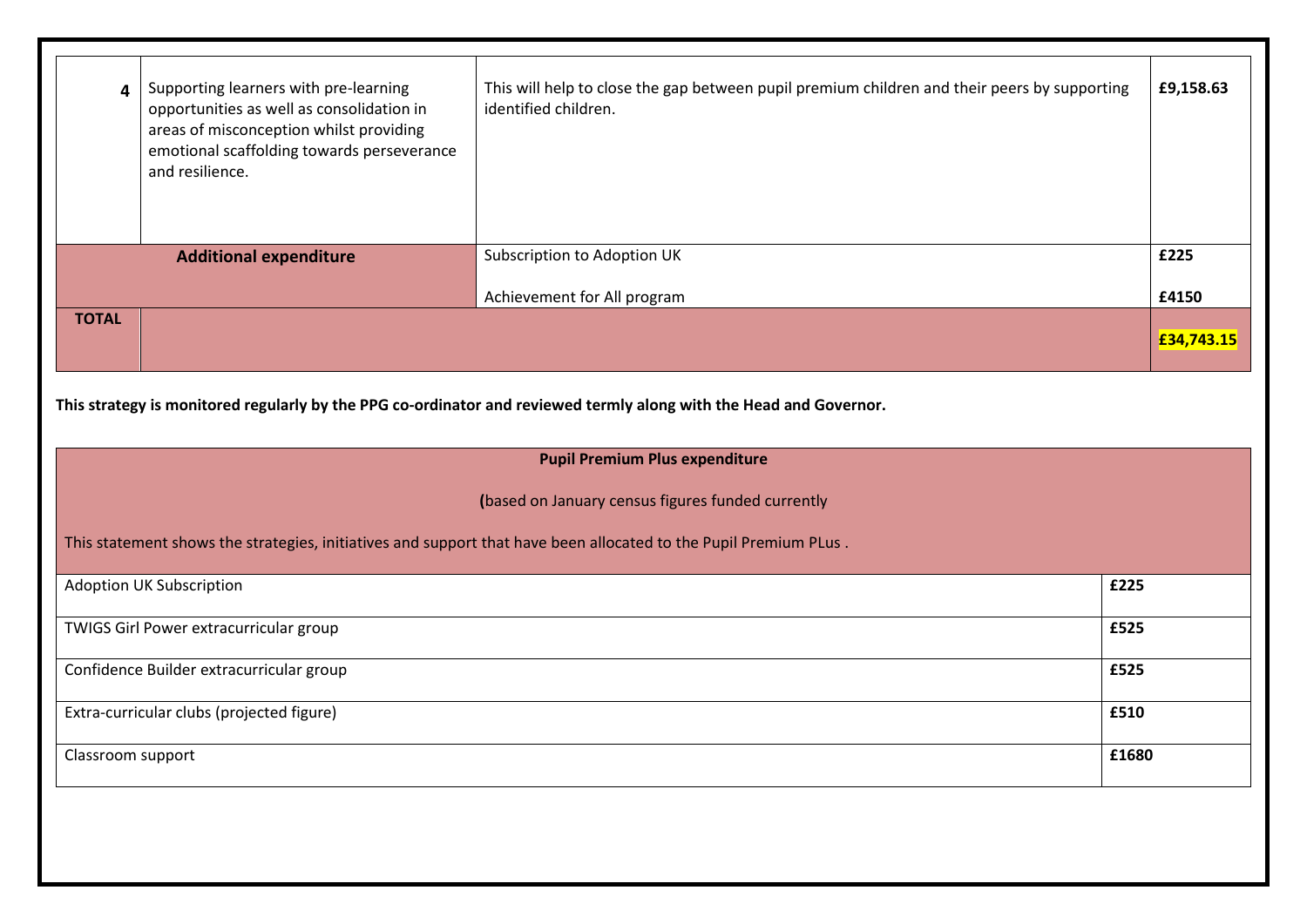| Supporting learners with pre-learning<br>This will help to close the gap between pupil premium children and their peers by supporting<br>4<br>opportunities as well as consolidation in<br>identified children.<br>areas of misconception whilst providing<br>emotional scaffolding towards perseverance<br>and resilience. |                                        |                                                                                                                    | £9,158.63  |
|-----------------------------------------------------------------------------------------------------------------------------------------------------------------------------------------------------------------------------------------------------------------------------------------------------------------------------|----------------------------------------|--------------------------------------------------------------------------------------------------------------------|------------|
|                                                                                                                                                                                                                                                                                                                             | <b>Additional expenditure</b>          | Subscription to Adoption UK                                                                                        | £225       |
|                                                                                                                                                                                                                                                                                                                             |                                        | Achievement for All program                                                                                        | £4150      |
| <b>TOTAL</b>                                                                                                                                                                                                                                                                                                                |                                        |                                                                                                                    | £34,743.15 |
|                                                                                                                                                                                                                                                                                                                             |                                        | This strategy is monitored regularly by the PPG co-ordinator and reviewed termly along with the Head and Governor. |            |
|                                                                                                                                                                                                                                                                                                                             |                                        | <b>Pupil Premium Plus expenditure</b>                                                                              |            |
|                                                                                                                                                                                                                                                                                                                             |                                        | (based on January census figures funded currently                                                                  |            |
|                                                                                                                                                                                                                                                                                                                             |                                        | This statement shows the strategies, initiatives and support that have been allocated to the Pupil Premium PLus.   |            |
|                                                                                                                                                                                                                                                                                                                             | <b>Adoption UK Subscription</b>        | £225                                                                                                               |            |
|                                                                                                                                                                                                                                                                                                                             | TWIGS Girl Power extracurricular group | £525                                                                                                               |            |
| Confidence Builder extracurricular group<br>£525                                                                                                                                                                                                                                                                            |                                        |                                                                                                                    |            |
| Extra-curricular clubs (projected figure)<br>£510                                                                                                                                                                                                                                                                           |                                        |                                                                                                                    |            |
|                                                                                                                                                                                                                                                                                                                             |                                        |                                                                                                                    |            |
| Classroom support                                                                                                                                                                                                                                                                                                           |                                        | £1680                                                                                                              |            |
|                                                                                                                                                                                                                                                                                                                             |                                        |                                                                                                                    |            |
|                                                                                                                                                                                                                                                                                                                             |                                        |                                                                                                                    |            |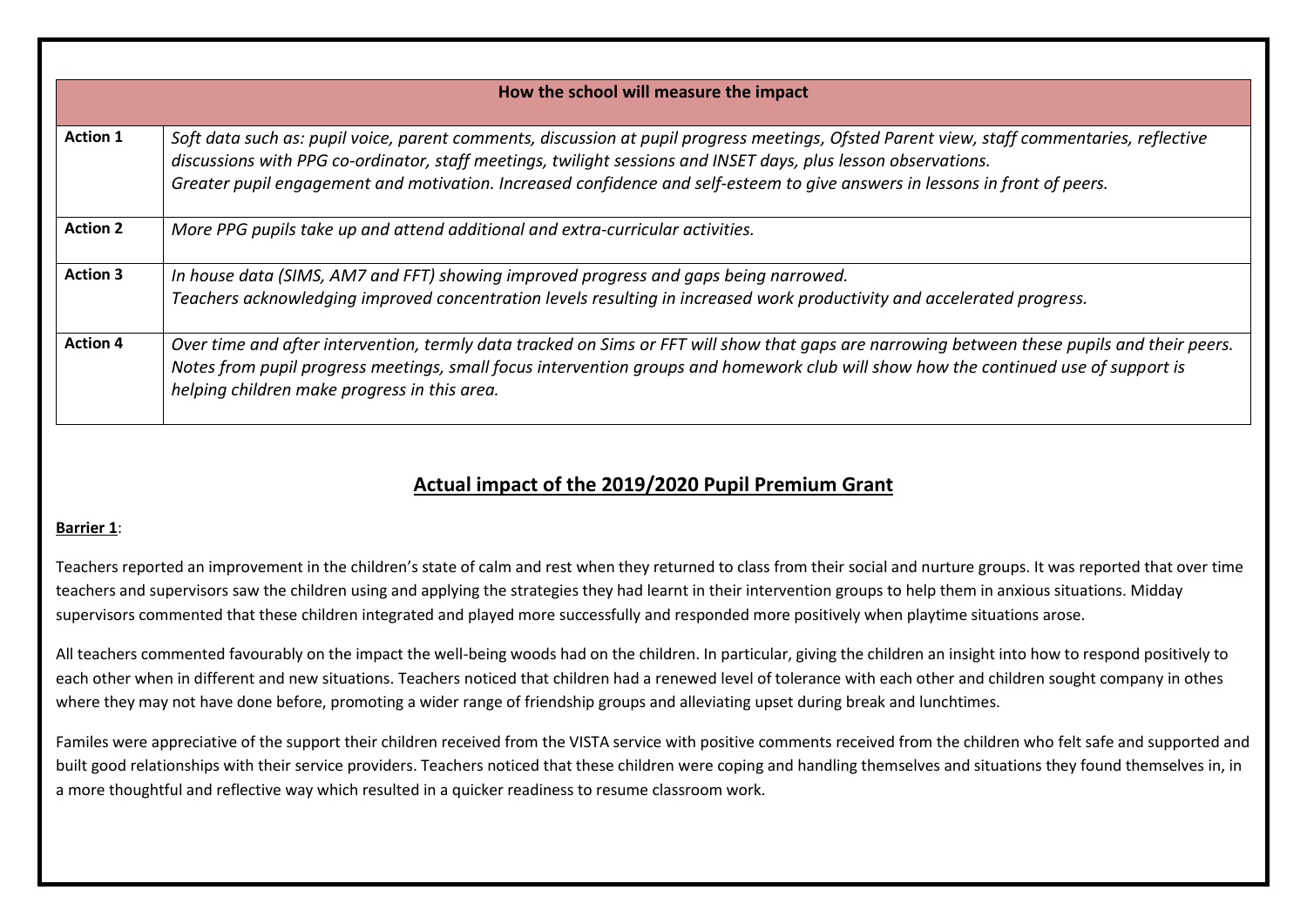|                 | How the school will measure the impact                                                                                                                                                                                                                                                                                                                                                      |  |  |  |
|-----------------|---------------------------------------------------------------------------------------------------------------------------------------------------------------------------------------------------------------------------------------------------------------------------------------------------------------------------------------------------------------------------------------------|--|--|--|
| <b>Action 1</b> | Soft data such as: pupil voice, parent comments, discussion at pupil progress meetings, Ofsted Parent view, staff commentaries, reflective<br>discussions with PPG co-ordinator, staff meetings, twilight sessions and INSET days, plus lesson observations.<br>Greater pupil engagement and motivation. Increased confidence and self-esteem to give answers in lessons in front of peers. |  |  |  |
| <b>Action 2</b> | More PPG pupils take up and attend additional and extra-curricular activities.                                                                                                                                                                                                                                                                                                              |  |  |  |
| <b>Action 3</b> | In house data (SIMS, AM7 and FFT) showing improved progress and gaps being narrowed.<br>Teachers acknowledging improved concentration levels resulting in increased work productivity and accelerated progress.                                                                                                                                                                             |  |  |  |
| <b>Action 4</b> | Over time and after intervention, termly data tracked on Sims or FFT will show that gaps are narrowing between these pupils and their peers.<br>Notes from pupil progress meetings, small focus intervention groups and homework club will show how the continued use of support is<br>helping children make progress in this area.                                                         |  |  |  |

# **Actual impact of the 2019/2020 Pupil Premium Grant**

### **Barrier 1**:

Teachers reported an improvement in the children's state of calm and rest when they returned to class from their social and nurture groups. It was reported that over time teachers and supervisors saw the children using and applying the strategies they had learnt in their intervention groups to help them in anxious situations. Midday supervisors commented that these children integrated and played more successfully and responded more positively when playtime situations arose.

All teachers commented favourably on the impact the well-being woods had on the children. In particular, giving the children an insight into how to respond positively to each other when in different and new situations. Teachers noticed that children had a renewed level of tolerance with each other and children sought company in othes where they may not have done before, promoting a wider range of friendship groups and alleviating upset during break and lunchtimes.

Familes were appreciative of the support their children received from the VISTA service with positive comments received from the children who felt safe and supported and built good relationships with their service providers. Teachers noticed that these children were coping and handling themselves and situations they found themselves in, in a more thoughtful and reflective way which resulted in a quicker readiness to resume classroom work.